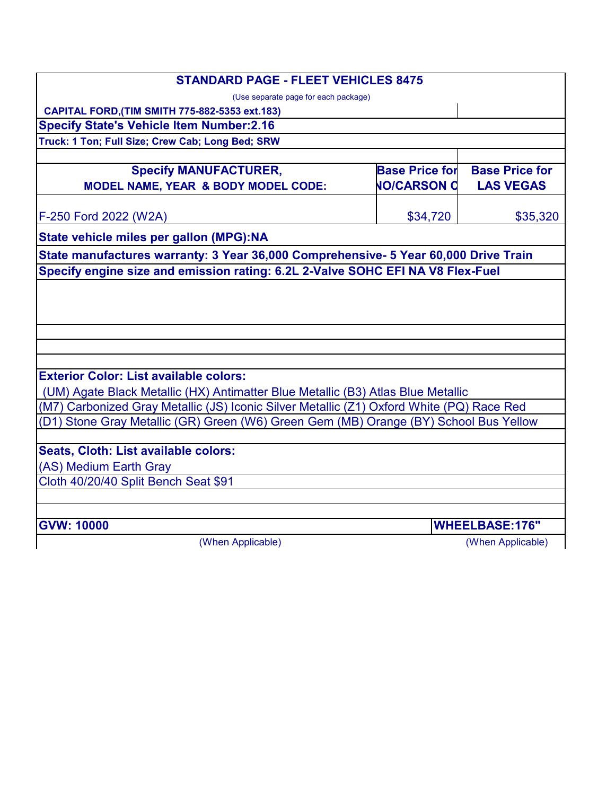| <b>STANDARD PAGE - FLEET VEHICLES 8475</b>                                                |                       |                       |  |  |
|-------------------------------------------------------------------------------------------|-----------------------|-----------------------|--|--|
| (Use separate page for each package)                                                      |                       |                       |  |  |
| CAPITAL FORD, (TIM SMITH 775-882-5353 ext.183)                                            |                       |                       |  |  |
| <b>Specify State's Vehicle Item Number:2.16</b>                                           |                       |                       |  |  |
| Truck: 1 Ton; Full Size; Crew Cab; Long Bed; SRW                                          |                       |                       |  |  |
|                                                                                           | <b>Base Price for</b> | <b>Base Price for</b> |  |  |
| <b>Specify MANUFACTURER,</b>                                                              |                       |                       |  |  |
| MODEL NAME, YEAR & BODY MODEL CODE:                                                       | <b>NO/CARSON C</b>    | <b>LAS VEGAS</b>      |  |  |
| F-250 Ford 2022 (W2A)                                                                     | \$34,720              | \$35,320              |  |  |
| State vehicle miles per gallon (MPG):NA                                                   |                       |                       |  |  |
| State manufactures warranty: 3 Year 36,000 Comprehensive- 5 Year 60,000 Drive Train       |                       |                       |  |  |
| Specify engine size and emission rating: 6.2L 2-Valve SOHC EFI NA V8 Flex-Fuel            |                       |                       |  |  |
|                                                                                           |                       |                       |  |  |
|                                                                                           |                       |                       |  |  |
|                                                                                           |                       |                       |  |  |
|                                                                                           |                       |                       |  |  |
| <b>Exterior Color: List available colors:</b>                                             |                       |                       |  |  |
| (UM) Agate Black Metallic (HX) Antimatter Blue Metallic (B3) Atlas Blue Metallic          |                       |                       |  |  |
| (M7) Carbonized Gray Metallic (JS) Iconic Silver Metallic (Z1) Oxford White (PQ) Race Red |                       |                       |  |  |
| (D1) Stone Gray Metallic (GR) Green (W6) Green Gem (MB) Orange (BY) School Bus Yellow     |                       |                       |  |  |
| Seats, Cloth: List available colors:                                                      |                       |                       |  |  |
| (AS) Medium Earth Gray                                                                    |                       |                       |  |  |
| Cloth 40/20/40 Split Bench Seat \$91                                                      |                       |                       |  |  |
| <b>GVW: 10000</b>                                                                         |                       | <b>WHEELBASE:176"</b> |  |  |
| (When Applicable)                                                                         |                       | (When Applicable)     |  |  |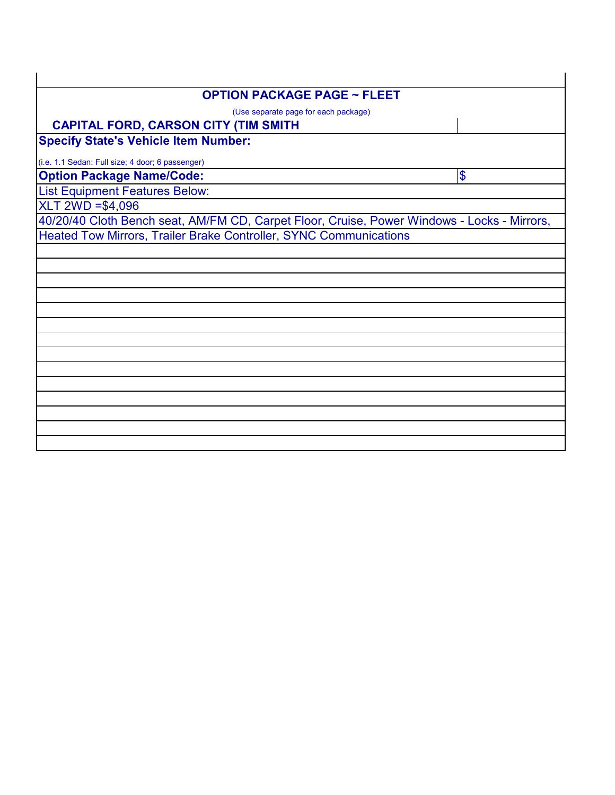| <b>OPTION PACKAGE PAGE ~ FLEET</b>                                                          |  |  |
|---------------------------------------------------------------------------------------------|--|--|
| (Use separate page for each package)                                                        |  |  |
| <b>CAPITAL FORD, CARSON CITY (TIM SMITH</b>                                                 |  |  |
| <b>Specify State's Vehicle Item Number:</b>                                                 |  |  |
| (i.e. 1.1 Sedan: Full size; 4 door; 6 passenger)                                            |  |  |
| <b>Option Package Name/Code:</b><br>$\boldsymbol{\theta}$                                   |  |  |
| <b>List Equipment Features Below:</b>                                                       |  |  |
| XLT 2WD = \$4,096                                                                           |  |  |
| 40/20/40 Cloth Bench seat, AM/FM CD, Carpet Floor, Cruise, Power Windows - Locks - Mirrors, |  |  |
| Heated Tow Mirrors, Trailer Brake Controller, SYNC Communications                           |  |  |
|                                                                                             |  |  |
|                                                                                             |  |  |
|                                                                                             |  |  |
|                                                                                             |  |  |
|                                                                                             |  |  |
|                                                                                             |  |  |
|                                                                                             |  |  |
|                                                                                             |  |  |
|                                                                                             |  |  |
|                                                                                             |  |  |
|                                                                                             |  |  |
|                                                                                             |  |  |
|                                                                                             |  |  |
|                                                                                             |  |  |